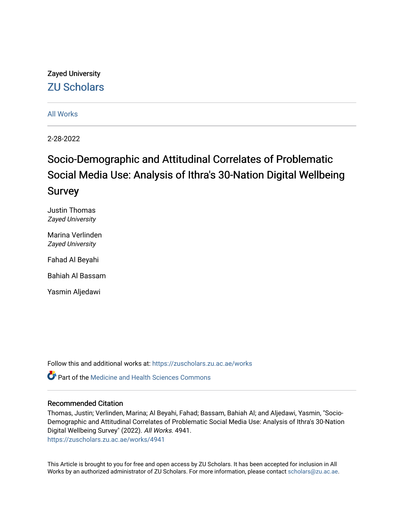## Zayed University [ZU Scholars](https://zuscholars.zu.ac.ae/)

#### [All Works](https://zuscholars.zu.ac.ae/works)

2-28-2022

## Socio-Demographic and Attitudinal Correlates of Problematic Social Media Use: Analysis of Ithra's 30-Nation Digital Wellbeing Survey

Justin Thomas Zayed University

Marina Verlinden Zayed University

Fahad Al Beyahi

Bahiah Al Bassam

Yasmin Aljedawi

Follow this and additional works at: [https://zuscholars.zu.ac.ae/works](https://zuscholars.zu.ac.ae/works?utm_source=zuscholars.zu.ac.ae%2Fworks%2F4941&utm_medium=PDF&utm_campaign=PDFCoverPages)

Part of the [Medicine and Health Sciences Commons](http://network.bepress.com/hgg/discipline/648?utm_source=zuscholars.zu.ac.ae%2Fworks%2F4941&utm_medium=PDF&utm_campaign=PDFCoverPages) 

#### Recommended Citation

Thomas, Justin; Verlinden, Marina; Al Beyahi, Fahad; Bassam, Bahiah Al; and Aljedawi, Yasmin, "Socio-Demographic and Attitudinal Correlates of Problematic Social Media Use: Analysis of Ithra's 30-Nation Digital Wellbeing Survey" (2022). All Works. 4941.

[https://zuscholars.zu.ac.ae/works/4941](https://zuscholars.zu.ac.ae/works/4941?utm_source=zuscholars.zu.ac.ae%2Fworks%2F4941&utm_medium=PDF&utm_campaign=PDFCoverPages)

This Article is brought to you for free and open access by ZU Scholars. It has been accepted for inclusion in All Works by an authorized administrator of ZU Scholars. For more information, please contact [scholars@zu.ac.ae](mailto:scholars@zu.ac.ae).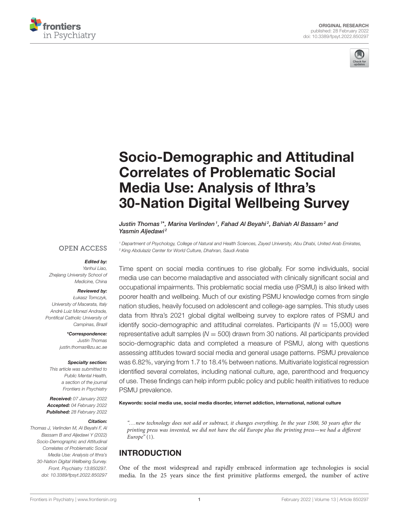



# Socio-Demographic and Attitudinal Correlates of Problematic Social Media Use: Analysis of Ithra's [30-Nation Digital Wellbeing Survey](https://www.frontiersin.org/articles/10.3389/fpsyt.2022.850297/full)

Justin Thomas1\*, Marina Verlinden1, Fahad Al Beyahi<sup>2</sup>, Bahiah Al Bassam<sup>2</sup> and Yasmin Aljedawi<sup>2</sup>

#### **OPEN ACCESS**

#### Edited by:

Yanhui Liao, Zhejiang University School of Medicine, China

#### Reviewed by:

Łukasz Tomczyk, University of Macerata, Italy André Luiz Monezi Andrade, Pontifical Catholic University of Campinas, Brazil

\*Correspondence:

Justin Thomas [justin.thomas@zu.ac.ae](mailto:justin.thomas@zu.ac.ae)

#### Specialty section:

This article was submitted to Public Mental Health, a section of the journal Frontiers in Psychiatry

Received: 07 January 2022 Accepted: 04 February 2022 Published: 28 February 2022

#### Citation:

Thomas J, Verlinden M, Al Beyahi F, Al Bassam B and Aljedawi Y (2022) Socio-Demographic and Attitudinal Correlates of Problematic Social Media Use: Analysis of Ithra's 30-Nation Digital Wellbeing Survey. Front. Psychiatry 13:850297. doi: [10.3389/fpsyt.2022.850297](https://doi.org/10.3389/fpsyt.2022.850297)

<sup>1</sup> Department of Psychology, College of Natural and Health Sciences, Zayed University, Abu Dhabi, United Arab Emirates, <sup>2</sup> King Abdulaziz Center for World Culture, Dhahran, Saudi Arabia

Time spent on social media continues to rise globally. For some individuals, social media use can become maladaptive and associated with clinically significant social and occupational impairments. This problematic social media use (PSMU) is also linked with poorer health and wellbeing. Much of our existing PSMU knowledge comes from single nation studies, heavily focused on adolescent and college-age samples. This study uses data from Ithra's 2021 global digital wellbeing survey to explore rates of PSMU and identify socio-demographic and attitudinal correlates. Participants ( $N = 15,000$ ) were representative adult samples  $(N = 500)$  drawn from 30 nations. All participants provided socio-demographic data and completed a measure of PSMU, along with questions assessing attitudes toward social media and general usage patterns. PSMU prevalence was 6.82%, varying from 1.7 to 18.4% between nations. Multivariate logistical regression identified several correlates, including national culture, age, parenthood and frequency of use. These findings can help inform public policy and public health initiatives to reduce PSMU prevalence.

Keywords: social media use, social media disorder, internet addiction, international, national culture

". . . new technology does not add or subtract, it changes everything. In the year 1500, 50 years after the printing press was invented, we did not have the old Europe plus the printing press—we had a different Europe" [\(1\)](#page-9-0).

#### INTRODUCTION

One of the most widespread and rapidly embraced information age technologies is social media. In the 25 years since the first primitive platforms emerged, the number of active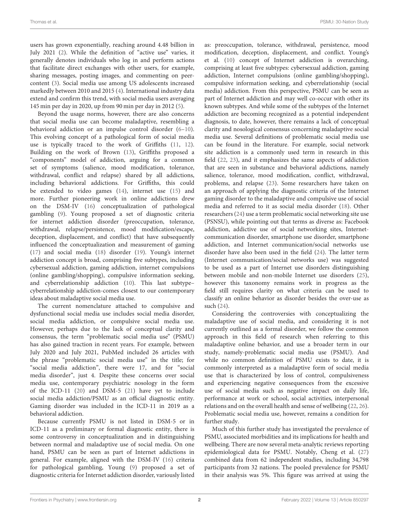users has grown exponentially, reaching around 4.48 billion in July 2021 [\(2\)](#page-9-1). While the definition of "active use" varies, it generally denotes individuals who log in and perform actions that facilitate direct exchanges with other users, for example, sharing messages, posting images, and commenting on peercontent [\(3\)](#page-9-2). Social media use among US adolescents increased markedly between 2010 and 2015 [\(4\)](#page-9-3). International industry data extend and confirm this trend, with social media users averaging 145 min per day in 2020, up from 90 min per day in 2012 [\(5\)](#page-9-4).

Beyond the usage norms, however, there are also concerns that social media use can become maladaptive, resembling a behavioral addiction or an impulse control disorder [\(6–](#page-9-5)[10\)](#page-9-6). This evolving concept of a pathological form of social media use is typically traced to the work of Griffiths [\(11,](#page-9-7) [12\)](#page-9-8). Building on the work of Brown [\(13\)](#page-9-9), Griffiths proposed a "components" model of addiction, arguing for a common set of symptoms (salience, mood modification, tolerance, withdrawal, conflict and relapse) shared by all addictions, including behavioral addictions. For Griffiths, this could be extended to video games [\(14\)](#page-9-10), internet use [\(15\)](#page-9-11) and more. Further pioneering work in online addictions drew on the DSM-IV [\(16\)](#page-9-12) conceptualization of pathological gambling [\(9\)](#page-9-13). Young proposed a set of diagnostic criteria for internet addiction disorder (preoccupation, tolerance, withdrawal, relapse/persistence, mood modification/escape, deception, displacement, and conflict) that have subsequently influenced the conceptualization and measurement of gaming [\(17\)](#page-9-14) and social media [\(18\)](#page-9-15) disorder [\(19\)](#page-9-16). Young's internet addiction concept is broad, comprising five subtypes, including cybersexual addiction, gaming addiction, internet compulsions (online gambling/shopping), compulsive information seeking, and cyberrelationship addiction [\(10\)](#page-9-6). This last subtype– cyberrelationship addiction-comes closest to our contemporary ideas about maladaptive social media use.

The current nomenclature attached to compulsive and dysfunctional social media use includes social media disorder, social media addiction, or compulsive social media use. However, perhaps due to the lack of conceptual clarity and consensus, the term "problematic social media use" (PSMU) has also gained traction in recent years. For example, between July 2020 and July 2021, PubMed included 26 articles with the phrase "problematic social media use" in the title; for "social media addiction", there were 17, and for "social media disorder", just 4. Despite these concerns over social media use, contemporary psychiatric nosology in the form of the ICD-11 [\(20\)](#page-9-17) and DSM-5 [\(21\)](#page-9-18) have yet to include social media addiction/PSMU as an official diagnostic entity. Gaming disorder was included in the ICD-11 in 2019 as a behavioral addiction.

Because currently PSMU is not listed in DSM-5 or in ICD-11 as a preliminary or formal diagnostic entity, there is some controversy in conceptualization and in distinguishing between normal and maladaptive use of social media. On one hand, PSMU can be seen as part of Internet addictions in general. For example, aligned with the DSM-IV [\(16\)](#page-9-12) criteria for pathological gambling, Young [\(9\)](#page-9-13) proposed a set of diagnostic criteria for Internet addiction disorder, variously listed as: preoccupation, tolerance, withdrawal, persistence, mood modification, deception, displacement, and conflict. Young's et al. [\(10\)](#page-9-6) concept of Internet addiction is overarching, comprising at least five subtypes: cybersexual addiction, gaming addiction, Internet compulsions (online gambling/shopping), compulsive information seeking, and cyberrelationship (social media) addiction. From this perspective, PSMU can be seen as part of Internet addiction and may well co-occur with other its known subtypes. And while some of the subtypes of the Internet addiction are becoming recognized as a potential independent diagnosis, to date, however, there remains a lack of conceptual clarity and nosological consensus concerning maladaptive social media use. Several definitions of problematic social media use can be found in the literature. For example, social network site addiction is a commonly used term in research in this field [\(22,](#page-9-19) [23\)](#page-9-20), and it emphasizes the same aspects of addiction that are seen in substance and behavioral addictions, namely salience, tolerance, mood modification, conflict, withdrawal, problems, and relapse [\(23\)](#page-9-20). Some researchers have taken on an approach of applying the diagnostic criteria of the Internet gaming disorder to the maladaptive and compulsive use of social media and referred to it as social media disorder [\(18\)](#page-9-15). Other researchers [\(24\)](#page-9-21) use a term problematic social networking site use (PSNSU), while pointing out that terms as diverse as: Facebook addiction, addictive use of social networking sites, Internetcommunication disorder, smartphone use disorder, smartphone addiction, and Internet communication/social networks use disorder have also been used in the field [\(24\)](#page-9-21). The latter term (Internet communication/social networks use) was suggested to be used as a part of Internet use disorders distinguishing between mobile and non-mobile Internet use disorders [\(25\)](#page-9-22), however this taxonomy remains work in progress as the field still requires clarity on what criteria can be used to classify an online behavior as disorder besides the over-use as such [\(24\)](#page-9-21).

Considering the controversies with conceptualizing the maladaptive use of social media, and considering it is not currently outlined as a formal disorder, we follow the common approach in this field of research when referring to this maladaptive online behavior, and use a broader term in our study, namely-problematic social media use (PSMU). And while no common definition of PSMU exists to date, it is commonly interpreted as a maladaptive form of social media use that is characterized by loss of control, compulsiveness and experiencing negative consequences from the excessive use of social media such as negative impact on daily life, performance at work or school, social activities, interpersonal relations and on the overall health and sense of wellbeing [\(22,](#page-9-19) [26\)](#page-9-23). Problematic social media use, however, remains a condition for further study.

Much of this further study has investigated the prevalence of PSMU, associated morbidities and its implications for health and wellbeing. There are now several meta-analytic reviews reporting epidemiological data for PSMU. Notably, Cheng et al. [\(27\)](#page-9-24) combined data from 62 independent studies, including 34,798 participants from 32 nations. The pooled prevalence for PSMU in their analysis was 5%. This figure was arrived at using the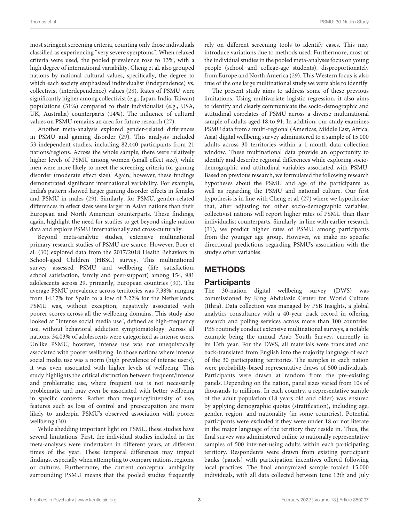most stringent screening criteria, counting only those individuals classified as experiencing "very severe symptoms". When relaxed criteria were used, the pooled prevalence rose to 13%, with a high degree of international variability. Cheng et al. also grouped nations by national cultural values, specifically, the degree to which each society emphasized individualist (independence) vs. collectivist (interdependence) values [\(28\)](#page-9-25). Rates of PSMU were significantly higher among collectivist (e.g., Japan, India, Taiwan) populations (31%) compared to their individualist (e.g., USA, UK, Australia) counterparts (14%). The influence of cultural values on PSMU remains an area for future research [\(27\)](#page-9-24).

Another meta-analysis explored gender-related differences in PSMU and gaming disorder [\(29\)](#page-9-26). This analysis included 53 independent studies, including 82,440 participants from 21 nations/regions. Across the whole sample, there were relatively higher levels of PSMU among women (small effect size), while men were more likely to meet the screening criteria for gaming disorder (moderate effect size). Again, however, these findings demonstrated significant international variability. For example, India's pattern showed larger gaming disorder effects in females and PSMU in males [\(29\)](#page-9-26). Similarly, for PSMU, gender-related differences in effect sizes were larger in Asian nations than their European and North American counterparts. These findings, again, highlight the need for studies to get beyond single nation data and explore PSMU internationally and cross-culturally.

Beyond meta-analytic studies, extensive multinational primary research studies of PSMU are scarce. However, Boer et al. [\(30\)](#page-9-27) explored data from the 2017/2018 Health Behaviors in School-aged Children (HBSC) survey. This multinational survey assessed PSMU and wellbeing (life satisfaction, school satisfaction, family and peer-support) among 154, 981 adolescents across 29, primarily, European countries [\(30\)](#page-9-27). The average PSMU prevalence across territories was 7.38%, ranging from 14.17% for Spain to a low of 3.22% for the Netherlands. PSMU was, without exception, negatively associated with poorer scores across all the wellbeing domains. This study also looked at "intense social media use", defined as high-frequency use, without behavioral addiction symptomatology. Across all nations, 34.03% of adolescents were categorized as intense users. Unlike PSMU, however, intense use was not unequivocally associated with poorer wellbeing. In those nations where intense social media use was a norm (high prevalence of intense users), it was even associated with higher levels of wellbeing. This study highlights the critical distinction between frequent/intense and problematic use, where frequent use is not necessarily problematic and may even be associated with better wellbeing in specific contexts. Rather than frequency/intensity of use, features such as loss of control and preoccupation are more likely to underpin PSMU's observed association with poorer wellbeing [\(30\)](#page-9-27).

While shedding important light on PSMU, these studies have several limitations. First, the individual studies included in the meta-analyses were undertaken in different years, at different times of the year. These temporal differences may impact findings, especially when attempting to compare nations, regions, or cultures. Furthermore, the current conceptual ambiguity surrounding PSMU means that the pooled studies frequently rely on different screening tools to identify cases. This may introduce variations due to methods used. Furthermore, most of the individual studies in the pooled meta-analyses focus on young people (school and college-age students), disproportionately from Europe and North America [\(29\)](#page-9-26). This Western focus is also true of the one large multinational study we were able to identify.

The present study aims to address some of these previous limitations. Using multivariate logistic regression, it also aims to identify and clearly communicate the socio-demographic and attitudinal correlates of PSMU across a diverse multinational sample of adults aged 18 to 91. In addition, our study examines PSMU data from a multi-regional (Americas, Middle East, Africa, Asia) digital wellbeing survey administered to a sample of 15,000 adults across 30 territories within a 1-month data collection window. These multinational data provide an opportunity to identify and describe regional differences while exploring sociodemographic and attitudinal variables associated with PSMU. Based on previous research, we formulated the following research hypotheses about the PSMU and age of the participants as well as regarding the PSMU and national culture. Our first hypothesis is in line with Cheng et al. [\(27\)](#page-9-24) where we hypothesize that, after adjusting for other socio-demographic variables, collectivist nations will report higher rates of PSMU than their individualist counterparts. Similarly, in line with earlier research [\(31\)](#page-9-28), we predict higher rates of PSMU among participants from the younger age group. However, we make no specific directional predictions regarding PSMU's association with the study's other variables.

## **METHODS**

#### **Participants**

The 30-nation digital wellbeing survey (DWS) was commissioned by King Abdulaziz Center for World Culture (Ithra). Data collection was managed by PSB Insights, a global analytics consultancy with a 40-year track record in offering research and polling services across more than 100 countries. PBS routinely conduct extensive multinational surveys, a notable example being the annual Arab Youth Survey, currently in its 13th year. For the DWS, all materials were translated and back-translated from English into the majority language of each of the 30 participating territories. The samples in each nation were probability-based representative draws of 500 individuals. Participants were drawn at random from the pre-existing panels. Depending on the nation, panel sizes varied from 10s of thousands to millions. In each country, a representative sample of the adult population (18 years old and older) was ensured by applying demographic quotas (stratification), including age, gender, region, and nationality (in some countries). Potential participants were excluded if they were under 18 or not literate in the major language of the territory they reside in. Thus, the final survey was administered online to nationally representative samples of 500 internet-using adults within each participating territory. Respondents were drawn from existing participant banks (panels) with participation incentives offered following local practices. The final anonymized sample totaled 15,000 individuals, with all data collected between June 12th and July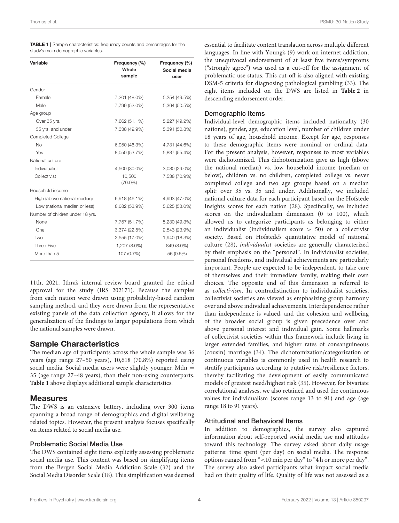study's main demographic variables.

| Variable                         | Frequency (%)<br>Whole<br>sample | Frequency (%)<br>Social media<br>user |
|----------------------------------|----------------------------------|---------------------------------------|
| Gender                           |                                  |                                       |
| Female                           | 7,201 (48.0%)                    | 5,254 (49.5%)                         |
| Male                             | 7,799 (52.0%)                    | 5,364 (50.5%)                         |
| Age group                        |                                  |                                       |
| Over 35 yrs.                     | 7,662 (51.1%)                    | 5,227 (49.2%)                         |
| 35 yrs. and under                | 7,338 (49.9%)                    | 5,391 (50.8%)                         |
| <b>Completed College</b>         |                                  |                                       |
| <b>No</b>                        | 6,950 (46.3%)                    | 4,731 (44.6%)                         |
| Yes                              | 8,050 (53.7%)                    | 5,887 (55.4%)                         |
| National culture                 |                                  |                                       |
| Individualist                    | 4,500 (30.0%)                    | 3,080 (29.0%)                         |
| Collectivist                     | 10,500<br>$(70.0\%)$             | 7,538 (70.9%)                         |
| Household income                 |                                  |                                       |
| High (above national median)     | 6,918 (46.1%)                    | 4,993 (47.0%)                         |
| Low (national median or less)    | 8,082 (53.9%)                    | 5,625 (53.0%)                         |
| Number of children under 18 yrs. |                                  |                                       |
| None                             | 7,757 (51.7%)                    | 5,230 (49.3%)                         |
| One                              | 3,374 (22.5%)                    | 2,543 (23.9%)                         |
| Two                              | 2,555 (17.0%)                    | 1,940 (18.3%)                         |
| Three-Five                       | 1,207 (8.0%)                     | 849 (8.0%)                            |
| More than 5                      | 107 (0.7%)                       | 56 (0.5%)                             |

<span id="page-4-0"></span>TABLE 1 | Sample characteristics: frequency counts and percentages for the

11th, 2021. Ithra's internal review board granted the ethical approval for the study (IRS 202171). Because the samples from each nation were drawn using probability-based random sampling method, and they were drawn from the representative existing panels of the data collection agency, it allows for the generalization of the findings to larger populations from which the national samples were drawn.

## Sample Characteristics

The median age of participants across the whole sample was 36 years (age range 27–50 years), 10,618 (70.8%) reported using social media. Social media users were slightly younger, Mdn = 35 (age range 27–48 years), than their non-using counterparts. **[Table 1](#page-4-0)** above displays additional sample characteristics.

#### **Measures**

The DWS is an extensive battery, including over 300 items spanning a broad range of demographics and digital wellbeing related topics. However, the present analysis focuses specifically on items related to social media use.

#### Problematic Social Media Use

The DWS contained eight items explicitly assessing problematic social media use. This content was based on simplifying items from the Bergen Social Media Addiction Scale [\(32\)](#page-9-29) and the Social Media Disorder Scale [\(18\)](#page-9-15). This simplification was deemed essential to facilitate content translation across multiple different languages. In line with Young's [\(9\)](#page-9-13) work on internet addiction, the unequivocal endorsement of at least five items/symptoms ("strongly agree") was used as a cut-off for the assignment of problematic use status. This cut-off is also aligned with existing DSM-5 criteria for diagnosing pathological gambling [\(33\)](#page-9-30). The eight items included on the DWS are listed in **[Table 2](#page-5-0)** in descending endorsement order.

#### Demographic Items

Individual-level demographic items included nationality (30 nations), gender, age, education level, number of children under 18 years of age, household income. Except for age, responses to these demographic items were nominal or ordinal data. For the present analysis, however, responses to most variables were dichotomized. This dichotomization gave us high (above the national median) vs. low household income (median or below), children vs. no children, completed college vs. never completed college and two age groups based on a median split: over 35 vs. 35 and under. Additionally, we included national culture data for each participant based on the Hofstede Insights scores for each nation [\(28\)](#page-9-25). Specifically, we included scores on the individualism dimension (0 to 100), which allowed us to categorize participants as belonging to either an individualist (individualism score  $> 50$ ) or a collectivist society. Based on Hofstede's quantitative model of national culture [\(28\)](#page-9-25), individualist societies are generally characterized by their emphasis on the "personal". In individualist societies, personal freedoms, and individual achievements are particularly important. People are expected to be independent, to take care of themselves and their immediate family, making their own choices. The opposite end of this dimension is referred to as collectivism. In contradistinction to individualist societies, collectivist societies are viewed as emphasizing group harmony over and above individual achievements. Interdependence rather than independence is valued, and the cohesion and wellbeing of the broader social group is given precedence over and above personal interest and individual gain. Some hallmarks of collectivist societies within this framework include living in larger extended families, and higher rates of consanguineous (cousin) marriage [\(34\)](#page-9-31). The dichotomization/categorization of continuous variables is commonly used in health research to stratify participants according to putative risk/resilience factors, thereby facilitating the development of easily communicated models of greatest need/highest risk [\(35\)](#page-9-32). However, for bivariate correlational analyses, we also retained and used the continuous values for individualism (scores range 13 to 91) and age (age range 18 to 91 years).

#### Attitudinal and Behavioral Items

In addition to demographics, the survey also captured information about self-reported social media use and attitudes toward this technology. The survey asked about daily usage patterns: time spent (per day) on social media. The response options ranged from "<10 min per day" to "4 h or more per day". The survey also asked participants what impact social media had on their quality of life. Quality of life was not assessed as a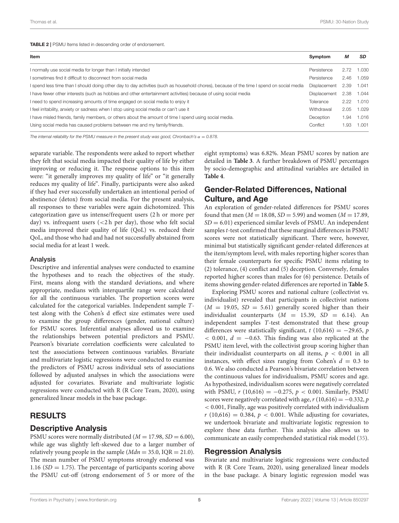<span id="page-5-0"></span>

| Item                                                                                                                                      | Symptom             | М    | <b>SD</b> |
|-------------------------------------------------------------------------------------------------------------------------------------------|---------------------|------|-----------|
| I normally use social media for longer than I initially intended                                                                          | Persistence         | 2.72 | 1.030     |
| I sometimes find it difficult to disconnect from social media                                                                             | Persistence         | 2.46 | 1.059     |
| I spend less time than I should doing other day to day activities (such as household chores), because of the time I spend on social media | <b>Displacement</b> | 2.39 | 1.041     |
| I have fewer other interests (such as hobbies and other entertainment activities) because of using social media                           | <b>Displacement</b> | 2.38 | 1.044     |
| I need to spend increasing amounts of time engaged on social media to enjoy it                                                            | Tolerance           | 2.22 | 1.010     |
| I feel irritability, anxiety or sadness when I stop using social media or can't use it                                                    | Withdrawal          | 2.05 | 1.029     |
| I have misled friends, family members, or others about the amount of time I spend using social media.                                     | Deception           | 1.94 | 1.016     |
| Using social media has caused problems between me and my family/friends.                                                                  | Conflict            | 1.93 | 1.001     |

The internal reliability for the PSMU measure in the present study was good, Chronbach's  $\alpha = 0.878$ .

separate variable. The respondents were asked to report whether they felt that social media impacted their quality of life by either improving or reducing it. The response options to this item were: "it generally improves my quality of life" or "it generally reduces my quality of life". Finally, participants were also asked if they had ever successfully undertaken an intentional period of abstinence (detox) from social media. For the present analysis, all responses to these variables were again dichotomized. This categorization gave us intense/frequent users (2 h or more per day) vs. infrequent users (<2 h per day), those who felt social media improved their quality of life (QoL) vs. reduced their QoL, and those who had and had not successfully abstained from social media for at least 1 week.

#### Analysis

Descriptive and inferential analyses were conducted to examine the hypotheses and to reach the objectives of the study. First, means along with the standard deviations, and where appropriate, medians with interquartile range were calculated for all the continuous variables. The proportion scores were calculated for the categorical variables. Independent sample Ttest along with the Cohen's d effect size estimates were used to examine the group differences (gender, national culture) for PSMU scores. Inferential analyses allowed us to examine the relationships between potential predictors and PSMU. Pearson's bivariate correlation coefficients were calculated to test the associations between continuous variables. Bivariate and multivariate logistic regressions were conducted to examine the predictors of PSMU across individual sets of associations followed by adjusted analyses in which the associations were adjusted for covariates. Bivariate and multivariate logistic regressions were conducted with R (R Core Team, 2020), using generalized linear models in the base package.

#### RESULTS

#### Descriptive Analysis

PSMU scores were normally distributed ( $M = 17.98$ ,  $SD = 6.00$ ), while age was slightly left-skewed due to a larger number of relatively young people in the sample ( $Mdn = 35.0$ , IQR = 21.0). The mean number of PSMU symptoms strongly endorsed was 1.16 ( $SD = 1.75$ ). The percentage of participants scoring above the PSMU cut-off (strong endorsement of 5 or more of the eight symptoms) was 6.82%. Mean PSMU scores by nation are detailed in **[Table 3](#page-6-0)**. A further breakdown of PSMU percentages by socio-demographic and attitudinal variables are detailed in **[Table 4](#page-7-0)**.

#### Gender-Related Differences, National Culture, and Age

An exploration of gender-related differences for PSMU scores found that men ( $M = 18.08$ ,  $SD = 5.99$ ) and women ( $M = 17.89$ ,  $SD = 6.01$ ) experienced similar levels of PSMU. An independent samples t-test confirmed that these marginal differences in PSMU scores were not statistically significant. There were, however, minimal but statistically significant gender-related differences at the item/symptom level, with males reporting higher scores than their female counterparts for specific PSMU items relating to (2) tolerance, (4) conflict and (5) deception. Conversely, females reported higher scores than males for (6) persistence. Details of items showing gender-related differences are reported in **[Table 5](#page-7-1)**.

Exploring PSMU scores and national culture (collectivist vs. individualist) revealed that participants in collectivist nations  $(M = 19.05, SD = 5.61)$  generally scored higher than their individualist counterparts  $(M = 15.39, SD = 6.14)$ . An independent samples T-test demonstrated that these group differences were statistically significant,  $t(10,616) = -29.65$ , p  $<$  0.001,  $d = -0.63$ . This finding was also replicated at the PSMU item level, with the collectivist group scoring higher than their individualist counterparts on all items,  $p < 0.001$  in all instances, with effect sizes ranging from Cohen's  $d = 0.3$  to 0.6. We also conducted a Pearson's bivariate correlation between the continuous values for individualism, PSMU scores and age. As hypothesized, individualism scores were negatively correlated with PSMU,  $r(10,616) = -0.275$ ,  $p < 0.001$ . Similarly, PSMU scores were negatively correlated with age,  $r(10,616) = -0.332$ ,  $p$ < 0.001, Finally, age was positively correlated with individualism  $r(10,616) = 0.384$ ,  $p < 0.001$ . While adjusting for covariates, we undertook bivariate and multivariate logistic regression to explore these data further. This analysis also allows us to communicate an easily comprehended statistical risk model [\(35\)](#page-9-32).

#### Regression Analysis

Bivariate and multivariate logistic regressions were conducted with R (R Core Team, 2020), using generalized linear models in the base package. A binary logistic regression model was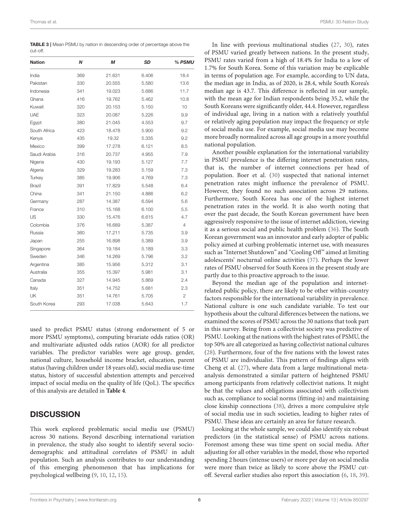<span id="page-6-0"></span>TABLE 3 | Mean PSMU by nation in descending order of percentage above the cut-off.

| <b>Nation</b> | N   | М      | <b>SD</b> | % PSMU |
|---------------|-----|--------|-----------|--------|
| India         | 369 | 21.631 | 6.406     | 18.4   |
| Pakistan      | 330 | 20.555 | 5.580     | 13.6   |
| Indonesia     | 341 | 19.023 | 5.686     | 11.7   |
| Ghana         | 416 | 19.762 | 5.462     | 10.8   |
| Kuwait        | 320 | 20.153 | 5.150     | 10     |
| <b>UAE</b>    | 323 | 20.087 | 5.226     | 9.9    |
| Egypt         | 380 | 21.045 | 4.553     | 9.7    |
| South Africa  | 423 | 18.478 | 5.900     | 9.2    |
| Kenya         | 435 | 19.32  | 5.335     | 9.2    |
| Mexico        | 399 | 17.278 | 6.121     | 8.5    |
| Saudi Arabia  | 316 | 20.737 | 4.955     | 7.9    |
| Nigeria       | 430 | 19.193 | 5.127     | 7.7    |
| Algeria       | 329 | 19.283 | 5.159     | 7.3    |
| Turkey        | 385 | 19.906 | 4.769     | 7.3    |
| <b>Brazil</b> | 391 | 17.829 | 5.548     | 6.4    |
| China         | 341 | 21.150 | 4.886     | 6.2    |
| Germany       | 287 | 14.387 | 6.594     | 5.6    |
| France        | 310 | 15.168 | 6.100     | 5.5    |
| US            | 330 | 15.476 | 6.615     | 4.7    |
| Colombia      | 376 | 16.689 | 5.387     | 4      |
| Russia        | 360 | 17.211 | 5.735     | 3.9    |
| Japan         | 255 | 16.898 | 5.389     | 3.9    |
| Singapore     | 364 | 19.184 | 5.189     | 3.3    |
| Sweden        | 346 | 14.269 | 5.796     | 3.2    |
| Argentina     | 385 | 15.956 | 5.312     | 3.1    |
| Australia     | 355 | 15.397 | 5.981     | 3.1    |
| Canada        | 327 | 14.945 | 5.869     | 2.4    |
| Italy         | 351 | 14.752 | 5.681     | 2.3    |
| UK            | 351 | 14.761 | 5.705     | 2      |
| South Korea   | 293 | 17.038 | 5.643     | 1.7    |

used to predict PSMU status (strong endorsement of 5 or more PSMU symptoms), computing bivariate odds ratios (OR) and multivariate adjusted odds ratios (AOR) for all predictor variables. The predictor variables were age group, gender, national culture, household income bracket, education, parent status (having children under 18 years old), social media use-time status, history of successful abstention attempts and perceived impact of social media on the quality of life (QoL). The specifics of this analysis are detailed in **[Table 4](#page-7-0)**.

#### **DISCUSSION**

This work explored problematic social media use (PSMU) across 30 nations. Beyond describing international variation in prevalence, the study also sought to identify several sociodemographic and attitudinal correlates of PSMU in adult population. Such an analysis contributes to our understanding of this emerging phenomenon that has implications for psychological wellbeing [\(9,](#page-9-13) [10,](#page-9-6) [12,](#page-9-8) [15\)](#page-9-11).

In line with previous multinational studies [\(27,](#page-9-24) [30\)](#page-9-27), rates of PSMU varied greatly between nations. In the present study, PSMU rates varied from a high of 18.4% for India to a low of 1.7% for South Korea. Some of this variation may be explicable in terms of population age. For example, according to UN data, the median age in India, as of 2020, is 28.4, while South Korea's median age is 43.7. This difference is reflected in our sample, with the mean age for Indian respondents being 35.2, while the South Koreans were significantly older, 44.4. However, regardless of individual age, living in a nation with a relatively youthful or relatively aging population may impact the frequency or style of social media use. For example, social media use may become more broadly normalized across all age groups in a more youthful national population.

Another possible explanation for the international variability in PSMU prevalence is the differing internet penetration rates, that is, the number of internet connections per head of population. Boer et al. [\(30\)](#page-9-27) suspected that national internet penetration rates might influence the prevalence of PSMU. However, they found no such association across 29 nations. Furthermore, South Korea has one of the highest internet penetration rates in the world. It is also worth noting that over the past decade, the South Korean government have been aggressively responsive to the issue of internet addiction, viewing it as a serious social and public health problem [\(36\)](#page-9-33). The South Korean government was an innovator and early adopter of public policy aimed at curbing problematic internet use, with measures such as "Internet Shutdown" and "Cooling Off" aimed at limiting adolescents' nocturnal online activities [\(37\)](#page-9-34). Perhaps the lower rates of PSMU observed for South Korea in the present study are partly due to this proactive approach to the issue.

Beyond the median age of the population and internetrelated public policy, there are likely to be other within-country factors responsible for the international variability in prevalence. National culture is one such candidate variable. To test our hypothesis about the cultural differences between the nations, we examined the scores of PSMU across the 30 nations that took part in this survey. Being from a collectivist society was predictive of PSMU. Looking at the nations with the highest rates of PSMU, the top 50% are all categorized as having collectivist national cultures [\(28\)](#page-9-25). Furthermore, four of the five nations with the lowest rates of PSMU are individualist. This pattern of findings aligns with Cheng et al. [\(27\)](#page-9-24), where data from a large multinational metaanalysis demonstrated a similar pattern of heightened PSMU among participants from relatively collectivist nations. It might be that the values and obligations associated with collectivism such as, compliance to social norms (fitting-in) and maintaining close kinship connections [\(38\)](#page-9-35), drives a more compulsive style of social media use in such societies, leading to higher rates of PSMU. These ideas are certainly an area for future research.

Looking at the whole sample, we could also identify six robust predictors (in the statistical sense) of PSMU across nations. Foremost among these was time spent on social media. After adjusting for all other variables in the model, those who reported spending 2 hours (intense users) or more per day on social media were more than twice as likely to score above the PSMU cutoff. Several earlier studies also report this association [\(6,](#page-9-5) [18,](#page-9-15) [39\)](#page-9-36).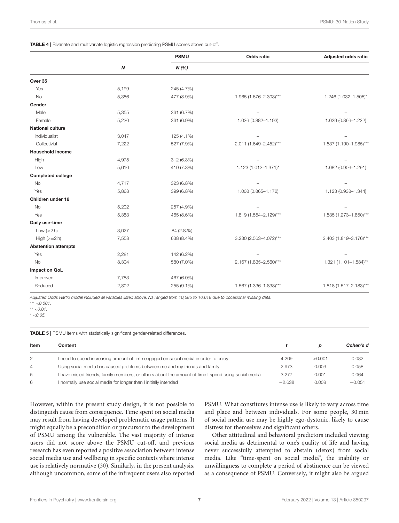<span id="page-7-0"></span>TABLE 4 | Bivariate and multivariate logistic regression predicting PSMU scores above cut-off.

|                            |                  | <b>PSMU</b> | Odds ratio             | Adjusted odds ratio    |
|----------------------------|------------------|-------------|------------------------|------------------------|
|                            | $\boldsymbol{N}$ | N(%)        |                        |                        |
| Over 35                    |                  |             |                        |                        |
| Yes                        | 5,199            | 245 (4.7%)  |                        |                        |
| <b>No</b>                  | 5,386            | 477 (8.9%)  | 1.965 (1.676-2.303)*** | 1.246 (1.032-1.505)*   |
| Gender                     |                  |             |                        |                        |
| Male                       | 5,355            | 361 (6.7%)  |                        |                        |
| Female                     | 5,230            | 361 (6.9%)  | 1.026 (0.882-1.193)    | 1.029 (0.866-1.222)    |
| <b>National culture</b>    |                  |             |                        |                        |
| Individualist              | 3,047            | 125 (4.1%)  |                        |                        |
| Collectivist               | 7,222            | 527 (7.9%)  | 2.011 (1.649-2.452)*** | 1.537 (1.190-1.985)*** |
| <b>Household income</b>    |                  |             |                        |                        |
| High                       | 4,975            | 312 (6.3%)  |                        |                        |
| Low                        | 5,610            | 410 (7.3%)  | 1.123 (1.012-1.371)*   | 1.082 (0.906-1.291)    |
| <b>Completed college</b>   |                  |             |                        |                        |
| <b>No</b>                  | 4,717            | 323 (6.8%)  |                        |                        |
| Yes                        | 5,868            | 399 (6.8%)  | 1.008 (0.865-1.172)    | 1.123 (0.938-1.344)    |
| Children under 18          |                  |             |                        |                        |
| No                         | 5,202            | 257 (4.9%)  |                        |                        |
| Yes                        | 5,383            | 465 (8.6%)  | 1.819 (1.554-2.129)*** | 1.535 (1.273-1.850)*** |
| Daily use-time             |                  |             |                        |                        |
| Low $(< 2 h)$              | 3,027            | 84 (2.8.%)  |                        |                        |
| High $(>=2 h)$             | 7,558            | 638 (8.4%)  | 3.230 (2.563-4.072)*** | 2.403 (1.819-3.176)*** |
| <b>Abstention attempts</b> |                  |             |                        |                        |
| Yes                        | 2,281            | 142 (6.2%)  |                        |                        |
| <b>No</b>                  | 8,304            | 580 (7.0%)  | 2.167 (1.835-2.560)*** | 1.321 (1.101-1.584)**  |
| <b>Impact on QoL</b>       |                  |             |                        |                        |
| Improved                   | 7,783            | 467 (6.0%)  |                        |                        |
| Reduced                    | 2,802            | 255 (9.1%)  | 1.567 (1.336-1.838)*** | 1.818 (1.517-2.183)*** |

Adjusted Odds Rartio model included all variables listed above, Ns ranged from 10,585 to 10,618 due to occasional missing data.

\*\*\*  $< 0.001$ .

\*\*  $< 0.01$ .

 $* < 0.05.$ 

<span id="page-7-1"></span>TABLE 5 | PSMU items with statistically significant gender-related differences.

| Item           | Content                                                                                              |          | D       | Cohen's d |
|----------------|------------------------------------------------------------------------------------------------------|----------|---------|-----------|
| $\overline{2}$ | I need to spend increasing amount of time engaged on social media in order to enjoy it               | 4.209    | < 0.001 | 0.082     |
| 4              | Using social media has caused problems between me and my friends and family                          | 2.973    | 0.003   | 0.058     |
| 5              | I have misled friends, family members, or others about the amount of time I spend using social media | 3.277    | 0.001   | 0.064     |
| 6              | I normally use social media for longer than I initially intended                                     | $-2.638$ | 0.008   | $-0.051$  |

However, within the present study design, it is not possible to distinguish cause from consequence. Time spent on social media may result from having developed problematic usage patterns. It might equally be a precondition or precursor to the development of PSMU among the vulnerable. The vast majority of intense users did not score above the PSMU cut-off, and previous research has even reported a positive association between intense social media use and wellbeing in specific contexts where intense use is relatively normative [\(30\)](#page-9-27). Similarly, in the present analysis, although uncommon, some of the infrequent users also reported PSMU. What constitutes intense use is likely to vary across time and place and between individuals. For some people, 30 min of social media use may be highly ego-dystonic, likely to cause distress for themselves and significant others.

Other attitudinal and behavioral predictors included viewing social media as detrimental to one's quality of life and having never successfully attempted to abstain (detox) from social media. Like "time-spent on social media", the inability or unwillingness to complete a period of abstinence can be viewed as a consequence of PSMU. Conversely, it might also be argued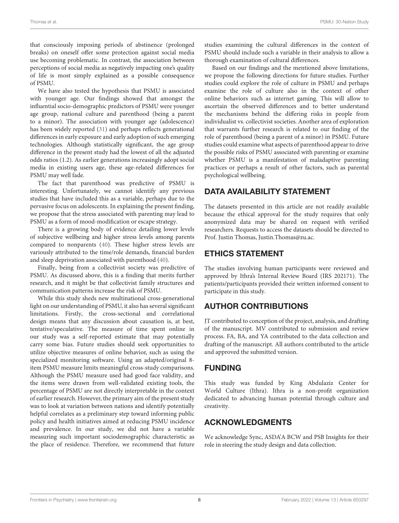that consciously imposing periods of abstinence (prolonged breaks) on oneself offer some protection against social media use becoming problematic. In contrast, the association between perceptions of social media as negatively impacting one's quality of life is most simply explained as a possible consequence of PSMU.

We have also tested the hypothesis that PSMU is associated with younger age. Our findings showed that amongst the influential socio-demographic predictors of PSMU were younger age group, national culture and parenthood (being a parent to a minor). The association with younger age (adolescence) has been widely reported [\(31\)](#page-9-28) and perhaps reflects generational differences in early exposure and early adoption of such emerging technologies. Although statistically significant, the age group difference in the present study had the lowest of all the adjusted odds ratios (1.2). As earlier generations increasingly adopt social media in existing users age, these age-related differences for PSMU may well fade.

The fact that parenthood was predictive of PSMU is interesting. Unfortunately, we cannot identify any previous studies that have included this as a variable, perhaps due to the pervasive focus on adolescents. In explaining the present finding, we propose that the stress associated with parenting may lead to PSMU as a form of mood-modification or escape strategy.

There is a growing body of evidence detailing lower levels of subjective wellbeing and higher stress levels among parents compared to nonparents [\(40\)](#page-9-37). These higher stress levels are variously attributed to the time/role demands, financial burden and sleep deprivation associated with parenthood [\(40\)](#page-9-37).

Finally, being from a collectivist society was predictive of PSMU. As discussed above, this is a finding that merits further research, and it might be that collectivist family structures and communication patterns increase the risk of PSMU.

While this study sheds new multinational cross-generational light on our understanding of PSMU, it also has several significant limitations. Firstly, the cross-sectional and correlational design means that any discussion about causation is, at best, tentative/speculative. The measure of time spent online in our study was a self-reported estimate that may potentially carry some bias. Future studies should seek opportunities to utilize objective measures of online behavior, such as using the specialized monitoring software. Using an adapted/original 8 item PSMU measure limits meaningful cross-study comparisons. Although the PSMU measure used had good face validity, and the items were drawn from well-validated existing tools, the percentage of PSMU are not directly interpretable in the context of earlier research. However, the primary aim of the present study was to look at variation between nations and identify potentially helpful correlates as a preliminary step toward informing public policy and health initiatives aimed at reducing PSMU incidence and prevalence. In our study, we did not have a variable measuring such important sociodemographic characteristic as the place of residence. Therefore, we recommend that future studies examining the cultural differences in the context of PSMU should include such a variable in their analysis to allow a thorough examination of cultural differences.

Based on our findings and the mentioned above limitations, we propose the following directions for future studies. Further studies could explore the role of culture in PSMU and perhaps examine the role of culture also in the context of other online behaviors such as internet gaming. This will allow to ascertain the observed differences and to better understand the mechanisms behind the differing risks in people from individualist vs. collectivist societies. Another area of exploration that warrants further research is related to our finding of the role of parenthood (being a parent of a minor) in PSMU. Future studies could examine what aspects of parenthood appear to drive the possible risks of PSMU associated with parenting or examine whether PSMU is a manifestation of maladaptive parenting practices or perhaps a result of other factors, such as parental psychological wellbeing.

### DATA AVAILABILITY STATEMENT

The datasets presented in this article are not readily available because the ethical approval for the study requires that only anonymized data may be shared on request with verified researchers. Requests to access the datasets should be directed to Prof. Justin Thomas, Justin.Thomas@zu.ac.

#### ETHICS STATEMENT

The studies involving human participants were reviewed and approved by Ithra's Internal Review Board (IRS 202171). The patients/participants provided their written informed consent to participate in this study.

## AUTHOR CONTRIBUTIONS

JT contributed to conception of the project, analysis, and drafting of the manuscript. MV contributed to submission and review process. FA, BA, and YA contributed to the data collection and drafting of the manuscript. All authors contributed to the article and approved the submitted version.

## FUNDING

This study was funded by King Abdulaziz Center for World Culture (Ithra). Ithra is a non-profit organization dedicated to advancing human potential through culture and creativity.

## ACKNOWLEDGMENTS

We acknowledge Sync, ASDA'A BCW and PSB Insights for their role in steering the study design and data collection.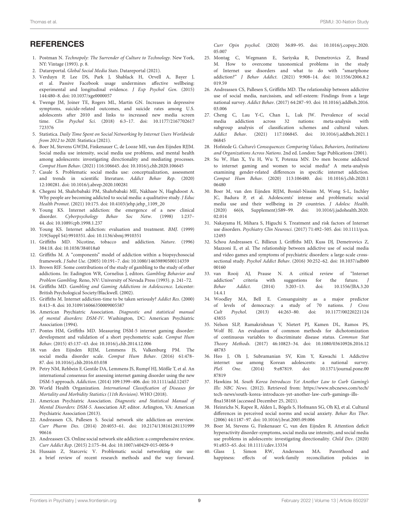#### **REFERENCES**

- <span id="page-9-0"></span>1. Postman N. Technopoly: The Surrender of Culture to Technology. New York, NY: Vintage (1993). p. 8.
- <span id="page-9-1"></span>2. Datareportal. Global Social Media Stats. Datareportal (2021).
- <span id="page-9-2"></span>3. Verduyn P, Lee DS, Park J, Shablack H, Orvell A, Bayer J, et al. Passive Facebook usage undermines affective wellbeing: experimental and longitudinal evidence. J Exp Psychol Gen. (2015) 144:480–8. doi: [10.1037/xge0000057](https://doi.org/10.1037/xge0000057)
- <span id="page-9-3"></span>4. Twenge JM, Joiner TE, Rogers ML, Martin GN. Increases in depressive symptoms, suicide-related outcomes, and suicide rates among U.S. adolescents after 2010 and links to increased new media screen time. Clin Psychol Sci[. \(2018\) 6:3–17. doi: 10.1177/2167702617](https://doi.org/10.1177/2167702617723376) 723376
- <span id="page-9-4"></span>5. Statistica. Daily Time Spent on Social Networking by Internet Users Worldwide from 2012 to 2020. Statistica (2021).
- <span id="page-9-5"></span>6. Boer M, Stevens GWJM, Finkenauer C, de Looze ME, van den Eijnden RJJM. Social media use intensity, social media use problems, and mental health among adolescents: investigating directionality and mediating processes. Comput Hum Behav. (2021) 116:106645. doi: [10.1016/j.chb.2020.106645](https://doi.org/10.1016/j.chb.2020.106645)
- 7. Casale S. Problematic social media use: conceptualization, assessment and trends in scientific literature. Addict Behav Rep. (2020) 12:100281. doi: [10.1016/j.abrep.2020.100281](https://doi.org/10.1016/j.abrep.2020.100281)
- 8. Chegeni M, Shahrbabaki PM, Shahrbabaki ME, Nakhaee N, Haghdoost A. Why people are becoming addicted to social media: a qualitative study. *J Educ* Health Promot. (2021) 10:175. doi: [10.4103/jehp.jehp\\_1109\\_20](https://doi.org/10.4103/jehp.jehp_1109_20)
- <span id="page-9-13"></span>9. Young KS. Internet addiction: the emergence of a new clinical disorder. Cyberpsychology Behav Soc Netw. (1998) 1:237– 44. doi: [10.1089/cpb.1998.1.237](https://doi.org/10.1089/cpb.1998.1.237)
- <span id="page-9-6"></span>10. Young KS. Internet addiction: evaluation and treatment. BMJ. (1999) 319(Suppl S4):9910351. doi: [10.1136/sbmj.9910351](https://doi.org/10.1136/sbmj.9910351)
- <span id="page-9-7"></span>11. Griffiths MD. Nicotine, tobacco and addiction. Nature. (1996) 384:18. doi: [10.1038/384018a0](https://doi.org/10.1038/384018a0)
- <span id="page-9-8"></span>12. Griffiths M. A "components" model of addiction within a biopsychosocial framework. J Subst Use. (2005) 10:191–7. doi: [10.1080/14659890500114359](https://doi.org/10.1080/14659890500114359)
- <span id="page-9-9"></span>13. Brown RIF. Some contributions of the study of gambling to the study of other addictions. In: Eadington WR, Cornelius J, editors. Gambling Behavior and Problem Gambling. Reno, NV: University of Nevada Press (1993). p. 241–72.
- <span id="page-9-10"></span>14. Griffiths MD. Gambling and Gaming Addictions in Adolescence. Leicester: British Psychological Society/Blackwell. (2002).
- <span id="page-9-11"></span>15. Griffiths M. Internet addiction-time to be taken seriously? Addict Res. (2000) 8:413–8. doi: [10.3109/16066350009005587](https://doi.org/10.3109/16066350009005587)
- <span id="page-9-12"></span>16. American Psychiatric Association. Diagnostic and statistical manual of mental disorders: DSM-IV. Washington, DC: American Psychiatric Association (1994).
- <span id="page-9-14"></span>17. Pontes HM, Griffiths MD. Measuring DSM-5 internet gaming disorder: development and validation of a short psychometric scale. Comput Hum Behav. (2015) 45:137–43. doi: [10.1016/j.chb.2014.12.006](https://doi.org/10.1016/j.chb.2014.12.006)
- <span id="page-9-15"></span>18. van den Eijnden RJJM, Lemmens JS, Valkenburg PM. The social media disorder scale. Comput Hum Behav. (2016) 61:478– 87. doi: [10.1016/j.chb.2016.03.038](https://doi.org/10.1016/j.chb.2016.03.038)
- <span id="page-9-16"></span>19. Petry NM, Rehbein F, Gentile DA, Lemmens JS, Rumpf HJ, Mößle T, et al. An international consensus for assessing internet gaming disorder using the new DSM-5 approach. Addiction. (2014) 109:1399–406. doi: [10.1111/add.12457](https://doi.org/10.1111/add.12457)
- <span id="page-9-17"></span>20. World Health Organization. International Classification of Diseases for Mortality and Morbidity Statistics (11th Revision). WHO (2018).
- <span id="page-9-18"></span>21. American Psychiatric Association. Diagnostic and Statistical Manual of Mental Disorders: DSM-5. Association AP, editor. Arlington, VA: American Psychiatric Association (2013).
- <span id="page-9-19"></span>22. Andreassen CS, Pallesen S. Social network site addiction-an overview. Curr Pharm Des[. \(2014\) 20:4053–61. doi: 10.2174/138161281131999](https://doi.org/10.2174/13816128113199990616) 90616
- <span id="page-9-20"></span>23. Andreassen CS. Online social network site addiction: a comprehensive review. Curr Addict Rep. (2015) 2:175–84. doi: [10.1007/s40429-015-0056-9](https://doi.org/10.1007/s40429-015-0056-9)
- <span id="page-9-21"></span>24. Hussain Z, Starcevic V. Problematic social networking site use: a brief review of recent research methods and the way forward.

Curr Opin psychol[. \(2020\) 36:89–95. doi: 10.1016/j.copsyc.2020.](https://doi.org/10.1016/j.copsyc.2020.05.007) 05.007

- <span id="page-9-22"></span>25. Montag C, Wegmann E, Sariyska R, Demetrovics Z, Brand M. How to overcome taxonomical problems in the study of Internet use disorders and what to do with "smartphone addiction?" J Behav Addict[. \(2021\) 9:908–14. doi: 10.1556/2006.8.2](https://doi.org/10.1556/2006.8.2019.59) 019.59
- <span id="page-9-23"></span>26. Andreassen CS, Pallesen S, Griffiths MD. The relationship between addictive use of social media, narcissism, and self-esteem: Findings from a large national survey. Addict Behav[. \(2017\) 64:287–93. doi: 10.1016/j.addbeh.2016.](https://doi.org/10.1016/j.addbeh.2016.03.006) 03.006
- <span id="page-9-24"></span>27. Cheng C, Lau Y-C, Chan L, Luk JW. Prevalence of social media addiction across 32 nations: meta-analysis with subgroup analysis of classification schemes and cultural values. Addict Behav[. \(2021\) 117:106845. doi: 10.1016/j.addbeh.2021.1](https://doi.org/10.1016/j.addbeh.2021.106845) 06845
- <span id="page-9-25"></span>28. Hofstede G. Culture's Consequences: Comparing Values, Behaviors, Institutions and Organizations Across Nations. 2nd ed. London: Sage Publications (2001).
- <span id="page-9-26"></span>29. Su W, Han X, Yu H, Wu Y, Potenza MN. Do men become addicted to internet gaming and women to social media? A meta-analysis examining gender-related differences in specific internet addiction. Comput Hum Behav[. \(2020\) 113:106480. doi: 10.1016/j.chb.2020.1](https://doi.org/10.1016/j.chb.2020.106480) 06480
- <span id="page-9-27"></span>30. Boer M, van den Eijnden RJJM, Boniel-Nissim M, Wong S-L, Inchley JC, Badura P, et al. Adolescents' intense and problematic social media use and their wellbeing in 29 countries. J Adolesc Health. [\(2020\) 66\(6, Supplement\):S89–99. doi: 10.1016/j.jadohealth.2020.](https://doi.org/10.1016/j.jadohealth.2020.02.014) 02.014
- <span id="page-9-28"></span>31. Nakayama H, Mihara S, Higuchi S. Treatment and risk factors of Internet use disorders. Psychiatry Clin Neurosci[. \(2017\) 71:492–505. doi: 10.1111/pcn.](https://doi.org/10.1111/pcn.12493) 12493
- <span id="page-9-29"></span>32. Schou Andreassen C, Billieux J, Griffiths MD, Kuss DJ, Demetrovics Z, Mazzoni E, et al. The relationship between addictive use of social media and video games and symptoms of psychiatric disorders: a large-scale crosssectional study. Psychol Addict Behav[. \(2016\) 30:252–62. doi: 10.1037/adb00](https://doi.org/10.1037/adb0000160) 00160
- <span id="page-9-30"></span>33. van Rooij AJ, Prause N. A critical review of "Internet addiction" criteria with suggestions for the future. Behav Addict[. \(2014\) 3:203–13. doi: 10.1556/JBA.3.20](https://doi.org/10.1556/JBA.3.2014.4.1) 14.4.1
- <span id="page-9-31"></span>34. Woodley MA, Bell E. Consanguinity as a major predictor of levels of democracy: a study of 70 nations. J Cross Cult Psychol[. \(2013\) 44:263–80. doi: 10.1177/00220221124](https://doi.org/10.1177/0022022112443855) 43855
- <span id="page-9-32"></span>35. Nelson SLP, Ramakrishnan V, Nietert PJ, Kamen DL, Ramos PS, Wolf BJ. An evaluation of common methods for dichotomization of continuous variables to discriminate disease status. Commun Stat Theory Methods[. \(2017\) 46:10823–34. doi: 10.1080/03610926.2016.12](https://doi.org/10.1080/03610926.2016.1248783) 48783
- <span id="page-9-33"></span>36. Heo J, Oh J, Subramanian SV, Kim Y, Kawachi I. Addictive internet use among Korean adolescents: a national survey. PloS One[. \(2014\) 9:e87819. doi: 10.1371/journal.pone.00](https://doi.org/10.1371/journal.pone.0087819) 87819
- <span id="page-9-34"></span>37. Hawkins M. South Korea Introduces Yet Another Law to Curb Gaming's Ills: NBC News. (2012). Retrieved from: [https://www.nbcnews.com/tech/](https://www.nbcnews.com/tech/tech-news/south-korea-introduces-yet-another-law-curb-gamings-ills-flna158168) [tech-news/south-korea-introduces-yet-another-law-curb-gamings-ills](https://www.nbcnews.com/tech/tech-news/south-korea-introduces-yet-another-law-curb-gamings-ills-flna158168)[flna158168](https://www.nbcnews.com/tech/tech-news/south-korea-introduces-yet-another-law-curb-gamings-ills-flna158168) (accessed December 25, 2021).
- <span id="page-9-35"></span>38. Heinrichs N, Rapee R, Alden L, Bögels S, Hofmann SG, Oh KJ, et al. Cultural differences in perceived social norms and social anxiety. Behav Res Ther. (2006) 44:1187–97. doi: [10.1016/j.brat.2005.09.006](https://doi.org/10.1016/j.brat.2005.09.006)
- <span id="page-9-36"></span>39. Boer M, Stevens G, Finkenauer C, van den Eijnden R. Attention deficit hyperactivity disorder-symptoms, social media use intensity, and social media use problems in adolescents: investigating directionality. Child Dev. (2020) 91:e853–65. doi: [10.1111/cdev.13334](https://doi.org/10.1111/cdev.13334)
- <span id="page-9-37"></span>40. Glass J, Simon RW, Andersson MA. Parenthood and happiness: effects of work-family reconciliation policies in